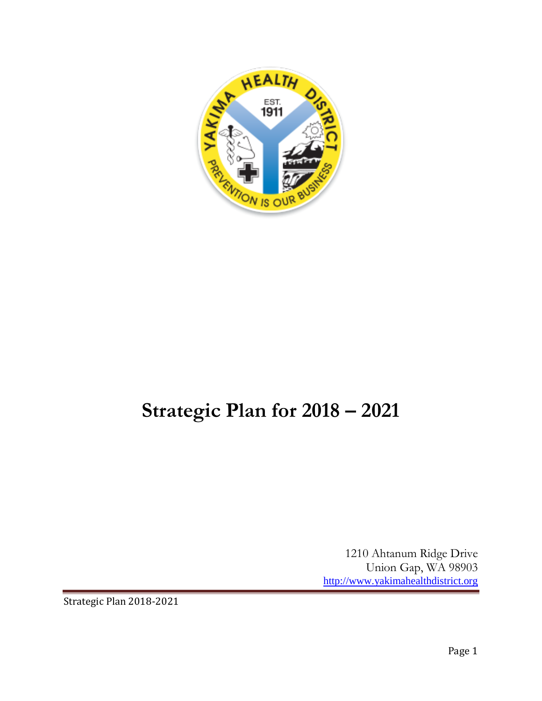

# **Strategic Plan for 2018 – 2021**

1210 Ahtanum Ridge Drive Union Gap, WA 98903 [http://www.yakimahealthdistrict.org](http://www.yakimahealthdistrict.org/)

Strategic Plan 2018-2021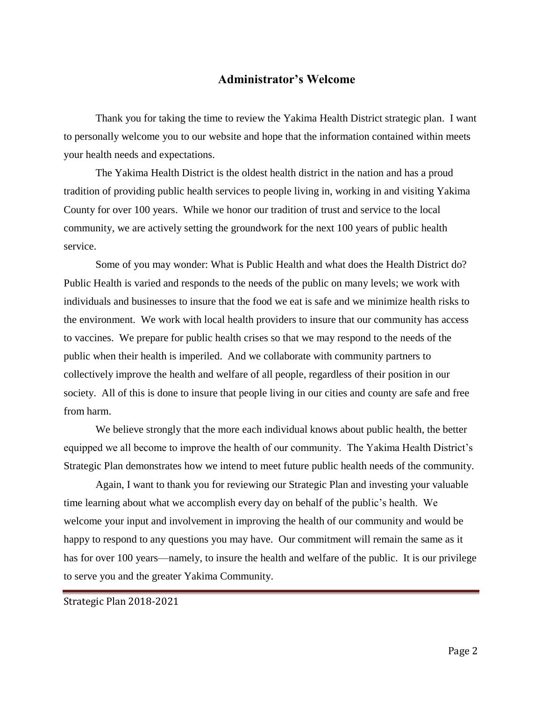## **Administrator's Welcome**

Thank you for taking the time to review the Yakima Health District strategic plan. I want to personally welcome you to our website and hope that the information contained within meets your health needs and expectations.

The Yakima Health District is the oldest health district in the nation and has a proud tradition of providing public health services to people living in, working in and visiting Yakima County for over 100 years. While we honor our tradition of trust and service to the local community, we are actively setting the groundwork for the next 100 years of public health service.

Some of you may wonder: What is Public Health and what does the Health District do? Public Health is varied and responds to the needs of the public on many levels; we work with individuals and businesses to insure that the food we eat is safe and we minimize health risks to the environment. We work with local health providers to insure that our community has access to vaccines. We prepare for public health crises so that we may respond to the needs of the public when their health is imperiled. And we collaborate with community partners to collectively improve the health and welfare of all people, regardless of their position in our society. All of this is done to insure that people living in our cities and county are safe and free from harm.

We believe strongly that the more each individual knows about public health, the better equipped we all become to improve the health of our community. The Yakima Health District's Strategic Plan demonstrates how we intend to meet future public health needs of the community.

Again, I want to thank you for reviewing our Strategic Plan and investing your valuable time learning about what we accomplish every day on behalf of the public's health. We welcome your input and involvement in improving the health of our community and would be happy to respond to any questions you may have. Our commitment will remain the same as it has for over 100 years—namely, to insure the health and welfare of the public. It is our privilege to serve you and the greater Yakima Community.

Strategic Plan 2018-2021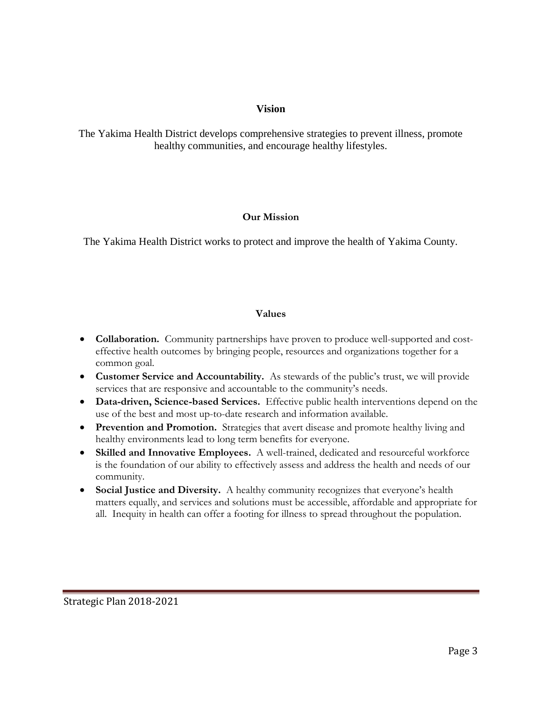## **Vision**

The Yakima Health District develops comprehensive strategies to prevent illness, promote healthy communities, and encourage healthy lifestyles.

## **Our Mission**

The Yakima Health District works to protect and improve the health of Yakima County.

## **Values**

- **Collaboration.** Community partnerships have proven to produce well-supported and costeffective health outcomes by bringing people, resources and organizations together for a common goal.
- **Customer Service and Accountability.** As stewards of the public's trust, we will provide services that are responsive and accountable to the community's needs.
- **Data-driven, Science-based Services.** Effective public health interventions depend on the use of the best and most up-to-date research and information available.
- **Prevention and Promotion.** Strategies that avert disease and promote healthy living and healthy environments lead to long term benefits for everyone.
- **Skilled and Innovative Employees.** A well-trained, dedicated and resourceful workforce is the foundation of our ability to effectively assess and address the health and needs of our community.
- **Social Justice and Diversity.** A healthy community recognizes that everyone's health matters equally, and services and solutions must be accessible, affordable and appropriate for all. Inequity in health can offer a footing for illness to spread throughout the population.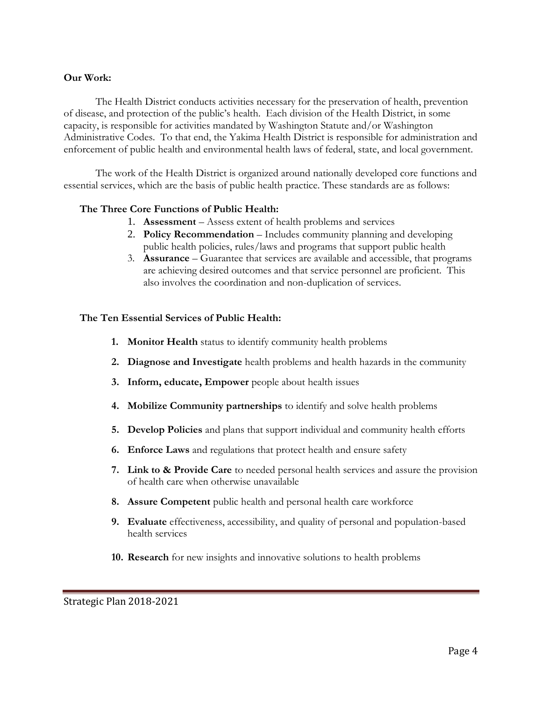#### **Our Work:**

The Health District conducts activities necessary for the preservation of health, prevention of disease, and protection of the public's health. Each division of the Health District, in some capacity, is responsible for activities mandated by Washington Statute and/or Washington Administrative Codes. To that end, the Yakima Health District is responsible for administration and enforcement of public health and environmental health laws of federal, state, and local government.

The work of the Health District is organized around nationally developed core functions and essential services, which are the basis of public health practice. These standards are as follows:

#### **The Three Core Functions of Public Health:**

- 1. **Assessment** Assess extent of health problems and services
- 2. **Policy Recommendation** Includes community planning and developing public health policies, rules/laws and programs that support public health
- 3. **Assurance** Guarantee that services are available and accessible, that programs are achieving desired outcomes and that service personnel are proficient. This also involves the coordination and non-duplication of services.

#### **The Ten Essential Services of Public Health:**

- **1. Monitor Health** status to identify community health problems
- **2. Diagnose and Investigate** health problems and health hazards in the community
- **3. Inform, educate, Empower** people about health issues
- **4. Mobilize Community partnerships** to identify and solve health problems
- **5. Develop Policies** and plans that support individual and community health efforts
- **6. Enforce Laws** and regulations that protect health and ensure safety
- **7. Link to & Provide Care** to needed personal health services and assure the provision of health care when otherwise unavailable
- **8. Assure Competent** public health and personal health care workforce
- **9. Evaluate** effectiveness, accessibility, and quality of personal and population-based health services
- **10. Research** for new insights and innovative solutions to health problems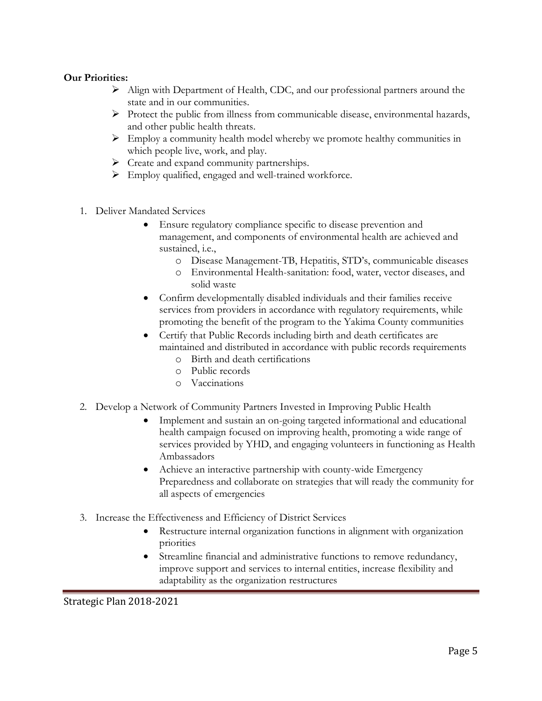#### **Our Priorities:**

- ➢ Align with Department of Health, CDC, and our professional partners around the state and in our communities.
- $\triangleright$  Protect the public from illness from communicable disease, environmental hazards, and other public health threats.
- $\triangleright$  Employ a community health model whereby we promote healthy communities in which people live, work, and play.
- ➢ Create and expand community partnerships.
- ➢ Employ qualified, engaged and well-trained workforce.
- 1. Deliver Mandated Services
	- Ensure regulatory compliance specific to disease prevention and management, and components of environmental health are achieved and sustained, i.e.,
		- o Disease Management-TB, Hepatitis, STD's, communicable diseases
		- o Environmental Health-sanitation: food, water, vector diseases, and solid waste
	- Confirm developmentally disabled individuals and their families receive services from providers in accordance with regulatory requirements, while promoting the benefit of the program to the Yakima County communities
	- Certify that Public Records including birth and death certificates are maintained and distributed in accordance with public records requirements
		- o Birth and death certifications
		- o Public records
		- o Vaccinations
- 2. Develop a Network of Community Partners Invested in Improving Public Health
	- Implement and sustain an on-going targeted informational and educational health campaign focused on improving health, promoting a wide range of services provided by YHD, and engaging volunteers in functioning as Health Ambassadors
	- Achieve an interactive partnership with county-wide Emergency Preparedness and collaborate on strategies that will ready the community for all aspects of emergencies
- 3. Increase the Effectiveness and Efficiency of District Services
	- Restructure internal organization functions in alignment with organization priorities
	- Streamline financial and administrative functions to remove redundancy, improve support and services to internal entities, increase flexibility and adaptability as the organization restructures

Strategic Plan 2018-2021